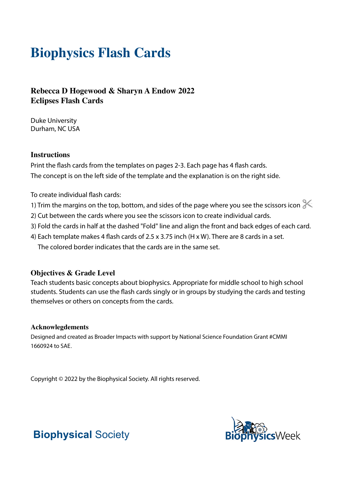# **Biophysics Flash Cards**

### **Rebecca D Hogewood & Sharyn A Endow 2022 Eclipses Flash Cards**

Duke University Durham, NC USA

#### **Instructions**

Print the flash cards from the templates on pages 2-3. Each page has 4 flash cards. The concept is on the left side of the template and the explanation is on the right side.

To create individual flash cards:

- 1) Trim the margins on the top, bottom, and sides of the page where you see the scissors icon  $\mathbb X$
- 2) Cut between the cards where you see the scissors icon to create individual cards.
- 3) Fold the cards in half at the dashed "Fold" line and align the front and back edges of each card.
- 4) Each template makes 4 flash cards of 2.5 x 3.75 inch (H x W). There are 8 cards in a set. The colored border indicates that the cards are in the same set.

#### **Objectives & Grade Level**

Teach students basic concepts about biophysics. Appropriate for middle school to high school students. Students can use the flash cards singly or in groups by studying the cards and testing themselves or others on concepts from the cards.

#### **Acknowlegdements**

Designed and created as Broader Impacts with support by National Science Foundation Grant #CMMI 1660924 to SAE.

Copyright © 2022 by the Biophysical Society. All rights reserved.



## **Biophysical** Society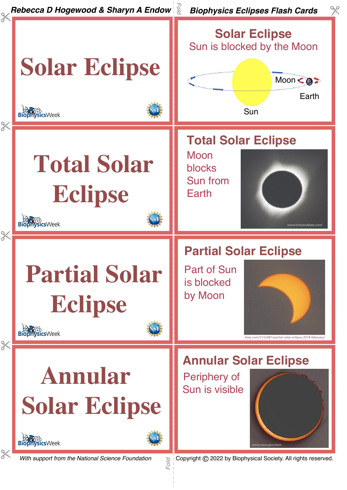